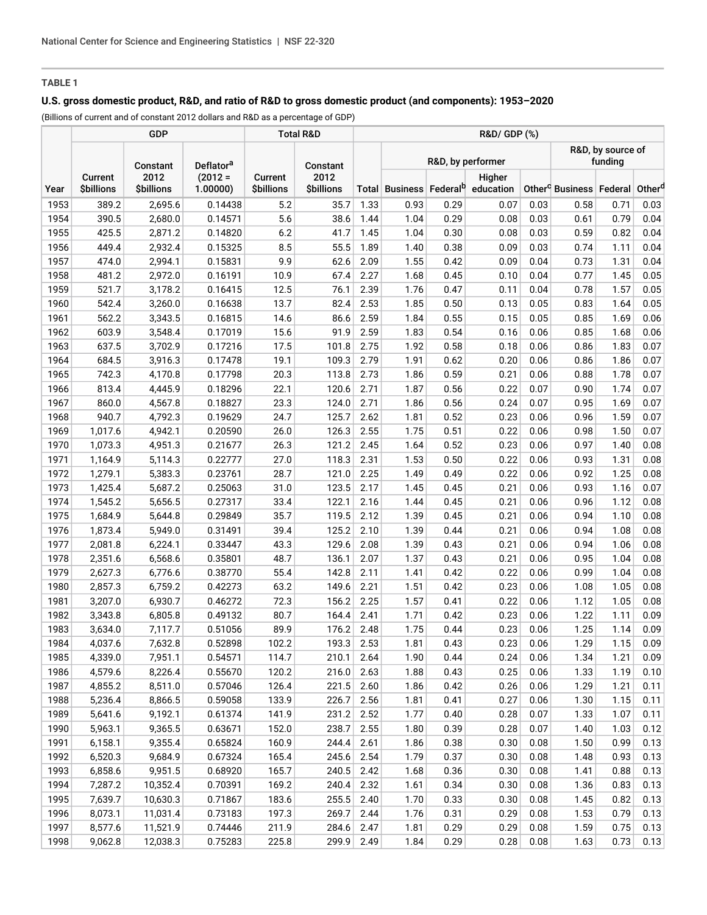# **TABLE 1**

### **U.S. gross domestic product, R&D, and ratio of R&D to gross domestic product (and components): 1953–2020**

(Billions of current and of constant 2012 dollars and R&D as a percentage of GDP)

|      |                                   | GDP                       | <b>Total R&amp;D</b> |                              | R&D/ GDP (%)              |      |                   |      |                                                         |      |                                                            |      |      |
|------|-----------------------------------|---------------------------|----------------------|------------------------------|---------------------------|------|-------------------|------|---------------------------------------------------------|------|------------------------------------------------------------|------|------|
|      | Deflator <sup>a</sup><br>Constant |                           |                      | Constant                     |                           |      | R&D, by performer |      |                                                         |      | R&D, by source of<br>funding                               |      |      |
| Year | Current<br><b>\$billions</b>      | 2012<br><b>\$billions</b> | $(2012 =$<br>1.00000 | Current<br><b>\$billions</b> | 2012<br><b>\$billions</b> |      |                   |      | Higher<br>Total Business Federal <sup>b</sup> education |      | Other <sup>c</sup> Business   Federal   Other <sup>d</sup> |      |      |
| 1953 | 389.2                             | 2,695.6                   | 0.14438              | 5.2                          | 35.7                      | 1.33 | 0.93              | 0.29 | 0.07                                                    | 0.03 | 0.58                                                       | 0.71 | 0.03 |
| 1954 | 390.5                             | 2,680.0                   | 0.14571              | 5.6                          | 38.6                      | 1.44 | 1.04              | 0.29 | 0.08                                                    | 0.03 | 0.61                                                       | 0.79 | 0.04 |
| 1955 | 425.5                             | 2,871.2                   | 0.14820              | 6.2                          | 41.7                      | 1.45 | 1.04              | 0.30 | 0.08                                                    | 0.03 | 0.59                                                       | 0.82 | 0.04 |
| 1956 | 449.4                             | 2,932.4                   | 0.15325              | 8.5                          | 55.5                      | 1.89 | 1.40              | 0.38 | 0.09                                                    | 0.03 | 0.74                                                       | 1.11 | 0.04 |
| 1957 | 474.0                             | 2,994.1                   | 0.15831              | 9.9                          | 62.6                      | 2.09 | 1.55              | 0.42 | 0.09                                                    | 0.04 | 0.73                                                       | 1.31 | 0.04 |
| 1958 | 481.2                             | 2,972.0                   | 0.16191              | 10.9                         | 67.4                      | 2.27 | 1.68              | 0.45 | 0.10                                                    | 0.04 | 0.77                                                       | 1.45 | 0.05 |
| 1959 | 521.7                             | 3,178.2                   | 0.16415              | 12.5                         | 76.1                      | 2.39 | 1.76              | 0.47 | 0.11                                                    | 0.04 | 0.78                                                       | 1.57 | 0.05 |
| 1960 | 542.4                             | 3,260.0                   | 0.16638              | 13.7                         | 82.4                      | 2.53 | 1.85              | 0.50 | 0.13                                                    | 0.05 | 0.83                                                       | 1.64 | 0.05 |
| 1961 | 562.2                             | 3,343.5                   | 0.16815              | 14.6                         | 86.6                      | 2.59 | 1.84              | 0.55 | 0.15                                                    | 0.05 | 0.85                                                       | 1.69 | 0.06 |
| 1962 | 603.9                             | 3,548.4                   | 0.17019              | 15.6                         | 91.9                      | 2.59 | 1.83              | 0.54 | 0.16                                                    | 0.06 | 0.85                                                       | 1.68 | 0.06 |
| 1963 | 637.5                             | 3,702.9                   | 0.17216              | 17.5                         | 101.8                     | 2.75 | 1.92              | 0.58 | 0.18                                                    | 0.06 | 0.86                                                       | 1.83 | 0.07 |
| 1964 | 684.5                             | 3,916.3                   | 0.17478              | 19.1                         | 109.3                     | 2.79 | 1.91              | 0.62 | 0.20                                                    | 0.06 | 0.86                                                       | 1.86 | 0.07 |
| 1965 | 742.3                             | 4,170.8                   | 0.17798              | 20.3                         | 113.8                     | 2.73 | 1.86              | 0.59 | 0.21                                                    | 0.06 | 0.88                                                       | 1.78 | 0.07 |
| 1966 | 813.4                             | 4,445.9                   | 0.18296              | 22.1                         | 120.6                     | 2.71 | 1.87              | 0.56 | 0.22                                                    | 0.07 | 0.90                                                       | 1.74 | 0.07 |
| 1967 | 860.0                             | 4,567.8                   | 0.18827              | 23.3                         | 124.0                     | 2.71 | 1.86              | 0.56 | 0.24                                                    | 0.07 | 0.95                                                       | 1.69 | 0.07 |
| 1968 | 940.7                             | 4,792.3                   | 0.19629              | 24.7                         | 125.7                     | 2.62 | 1.81              | 0.52 | 0.23                                                    | 0.06 | 0.96                                                       | 1.59 | 0.07 |
| 1969 | 1,017.6                           | 4,942.1                   | 0.20590              | 26.0                         | 126.3                     | 2.55 | 1.75              | 0.51 | 0.22                                                    | 0.06 | 0.98                                                       | 1.50 | 0.07 |
| 1970 | 1,073.3                           | 4,951.3                   | 0.21677              | 26.3                         | 121.2                     | 2.45 | 1.64              | 0.52 | 0.23                                                    | 0.06 | 0.97                                                       | 1.40 | 0.08 |
| 1971 | 1,164.9                           | 5,114.3                   | 0.22777              | 27.0                         | 118.3                     | 2.31 | 1.53              | 0.50 | 0.22                                                    | 0.06 | 0.93                                                       | 1.31 | 0.08 |
| 1972 | 1,279.1                           | 5,383.3                   | 0.23761              | 28.7                         | 121.0                     | 2.25 | 1.49              | 0.49 | 0.22                                                    | 0.06 | 0.92                                                       | 1.25 | 0.08 |
| 1973 | 1,425.4                           | 5,687.2                   | 0.25063              | 31.0                         | 123.5                     | 2.17 | 1.45              | 0.45 | 0.21                                                    | 0.06 | 0.93                                                       | 1.16 | 0.07 |
| 1974 | 1,545.2                           | 5,656.5                   | 0.27317              | 33.4                         | 122.1                     | 2.16 | 1.44              | 0.45 | 0.21                                                    | 0.06 | 0.96                                                       | 1.12 | 0.08 |
| 1975 | 1,684.9                           | 5,644.8                   | 0.29849              | 35.7                         | 119.5                     | 2.12 | 1.39              | 0.45 | 0.21                                                    | 0.06 | 0.94                                                       | 1.10 | 0.08 |
| 1976 | 1,873.4                           | 5,949.0                   | 0.31491              | 39.4                         | 125.2                     | 2.10 | 1.39              | 0.44 | 0.21                                                    | 0.06 | 0.94                                                       | 1.08 | 0.08 |
| 1977 | 2,081.8                           | 6,224.1                   | 0.33447              | 43.3                         | 129.6                     | 2.08 | 1.39              | 0.43 | 0.21                                                    | 0.06 | 0.94                                                       | 1.06 | 0.08 |
| 1978 | 2,351.6                           | 6,568.6                   | 0.35801              | 48.7                         | 136.1                     | 2.07 | 1.37              | 0.43 | 0.21                                                    | 0.06 | 0.95                                                       | 1.04 | 0.08 |
| 1979 | 2,627.3                           | 6,776.6                   | 0.38770              | 55.4                         | 142.8                     | 2.11 | 1.41              | 0.42 | 0.22                                                    | 0.06 | 0.99                                                       | 1.04 | 0.08 |
| 1980 | 2,857.3                           | 6,759.2                   | 0.42273              | 63.2                         | 149.6                     | 2.21 | 1.51              | 0.42 | 0.23                                                    | 0.06 | 1.08                                                       | 1.05 | 0.08 |
| 1981 | 3,207.0                           | 6,930.7                   | 0.46272              | 72.3                         | 156.2                     | 2.25 | 1.57              | 0.41 | 0.22                                                    | 0.06 | 1.12                                                       | 1.05 | 0.08 |
| 1982 | 3,343.8                           | 6,805.8                   | 0.49132              | 80.7                         | 164.4                     | 2.41 | 1.71              | 0.42 | 0.23                                                    | 0.06 | 1.22                                                       | 1.11 | 0.09 |
| 1983 | 3,634.0                           | 7,117.7                   | 0.51056              | 89.9                         | 176.2                     | 2.48 | 1.75              | 0.44 | 0.23                                                    | 0.06 | 1.25                                                       | 1.14 | 0.09 |
| 1984 | 4,037.6                           | 7,632.8                   | 0.52898              | 102.2                        | 193.3                     | 2.53 | 1.81              | 0.43 | 0.23                                                    | 0.06 | 1.29                                                       | 1.15 | 0.09 |
| 1985 | 4,339.0                           | 7,951.1                   | 0.54571              | 114.7                        | 210.1                     | 2.64 | 1.90              | 0.44 | 0.24                                                    | 0.06 | 1.34                                                       | 1.21 | 0.09 |
| 1986 | 4,579.6                           | 8,226.4                   | 0.55670              | 120.2                        | 216.0                     | 2.63 | 1.88              | 0.43 | 0.25                                                    | 0.06 | 1.33                                                       | 1.19 | 0.10 |
| 1987 | 4,855.2                           | 8,511.0                   | 0.57046              | 126.4                        | 221.5                     | 2.60 | 1.86              | 0.42 | 0.26                                                    | 0.06 | 1.29                                                       | 1.21 | 0.11 |
| 1988 | 5,236.4                           | 8,866.5                   | 0.59058              | 133.9                        | 226.7                     | 2.56 | 1.81              | 0.41 | 0.27                                                    | 0.06 | 1.30                                                       | 1.15 | 0.11 |
| 1989 | 5,641.6                           | 9,192.1                   | 0.61374              | 141.9                        | 231.2                     | 2.52 | 1.77              | 0.40 | 0.28                                                    | 0.07 | 1.33                                                       | 1.07 | 0.11 |
| 1990 | 5,963.1                           | 9,365.5                   | 0.63671              | 152.0                        | 238.7                     | 2.55 | 1.80              | 0.39 | 0.28                                                    | 0.07 | 1.40                                                       | 1.03 | 0.12 |
| 1991 | 6,158.1                           | 9,355.4                   | 0.65824              | 160.9                        | 244.4                     | 2.61 | 1.86              | 0.38 | 0.30                                                    | 0.08 | 1.50                                                       | 0.99 | 0.13 |
| 1992 | 6,520.3                           | 9,684.9                   | 0.67324              | 165.4                        | 245.6 2.54                |      | 1.79              | 0.37 | 0.30                                                    | 0.08 | 1.48                                                       | 0.93 | 0.13 |
| 1993 | 6,858.6                           | 9,951.5                   | 0.68920              | 165.7                        | 240.5                     | 2.42 | 1.68              | 0.36 | 0.30                                                    | 0.08 | 1.41                                                       | 0.88 | 0.13 |
| 1994 | 7,287.2                           | 10,352.4                  | 0.70391              | 169.2                        | 240.4                     | 2.32 | 1.61              | 0.34 | 0.30                                                    | 0.08 | 1.36                                                       | 0.83 | 0.13 |
| 1995 | 7,639.7                           | 10,630.3                  | 0.71867              | 183.6                        | 255.5                     | 2.40 | 1.70              | 0.33 | 0.30                                                    | 0.08 | 1.45                                                       | 0.82 | 0.13 |
| 1996 | 8,073.1                           | 11,031.4                  | 0.73183              | 197.3                        | 269.7                     | 2.44 | 1.76              | 0.31 | 0.29                                                    | 0.08 | 1.53                                                       | 0.79 | 0.13 |
| 1997 | 8,577.6                           | 11,521.9                  | 0.74446              | 211.9                        | 284.6                     | 2.47 | 1.81              | 0.29 | 0.29                                                    | 0.08 | 1.59                                                       | 0.75 | 0.13 |
| 1998 | 9,062.8                           | 12,038.3                  | 0.75283              | 225.8                        | 299.9                     | 2.49 | 1.84              | 0.29 | 0.28                                                    | 0.08 | 1.63                                                       | 0.73 | 0.13 |